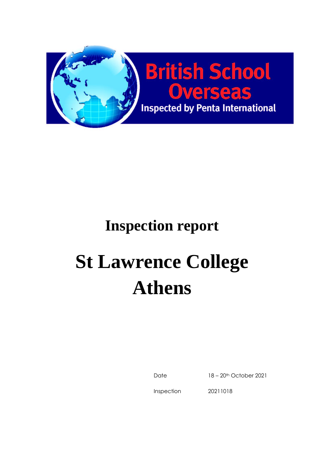

## **Inspection report**

# **St Lawrence College Athens**

Date 18 – 20th October 2021

Inspection

20211018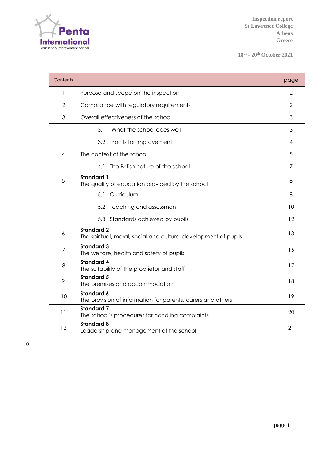

**18th - 20 th October 2021**

| Contents       |                                                                                      | page           |
|----------------|--------------------------------------------------------------------------------------|----------------|
| 1              | Purpose and scope on the inspection                                                  | $\overline{2}$ |
| $\overline{2}$ | Compliance with regulatory requirements                                              | $\overline{2}$ |
| 3              | Overall effectiveness of the school                                                  | 3              |
|                | 3.1<br>What the school does well                                                     | 3              |
|                | 3.2<br>Points for improvement                                                        | 4              |
| 4              | The context of the school                                                            | 5              |
|                | 4.1 The British nature of the school                                                 | 7              |
| 5              | <b>Standard 1</b><br>The quality of education provided by the school                 | 8              |
|                | Curriculum<br>5.1                                                                    | 8              |
|                | 5.2 Teaching and assessment                                                          | 10             |
|                | 5.3 Standards achieved by pupils                                                     | 12             |
| 6              | <b>Standard 2</b><br>The spiritual, moral, social and cultural development of pupils | 13             |
| $\overline{7}$ | <b>Standard 3</b><br>The welfare, health and safety of pupils                        | 15             |
| 8              | <b>Standard 4</b><br>The suitability of the proprietor and staff                     | 17             |
| 9              | <b>Standard 5</b><br>The premises and accommodation                                  | 18             |
| 10             | <b>Standard 6</b><br>The provision of information for parents, carers and others     | 19             |
| 11             | <b>Standard 7</b><br>The school's procedures for handling complaints                 | 20             |
| 12             | <b>Standard 8</b><br>Leadership and management of the school                         | 21             |

0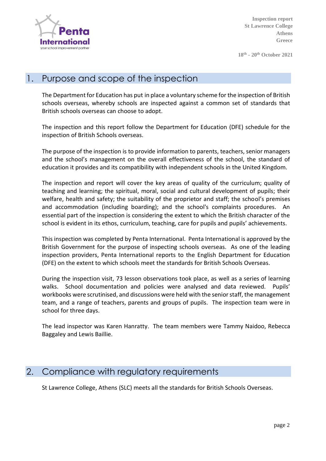

**18th - 20 th October 2021**

#### 1. Purpose and scope of the inspection

The Department for Education has put in place a voluntary scheme for the inspection of British schools overseas, whereby schools are inspected against a common set of standards that British schools overseas can choose to adopt.

The inspection and this report follow the Department for Education (DFE) schedule for the inspection of British Schools overseas.

The purpose of the inspection is to provide information to parents, teachers, senior managers and the school's management on the overall effectiveness of the school, the standard of education it provides and its compatibility with independent schools in the United Kingdom.

The inspection and report will cover the key areas of quality of the curriculum; quality of teaching and learning; the spiritual, moral, social and cultural development of pupils; their welfare, health and safety; the suitability of the proprietor and staff; the school's premises and accommodation (including boarding); and the school's complaints procedures. An essential part of the inspection is considering the extent to which the British character of the school is evident in its ethos, curriculum, teaching, care for pupils and pupils' achievements.

This inspection was completed by Penta International. Penta International is approved by the British Government for the purpose of inspecting schools overseas. As one of the leading inspection providers, Penta International reports to the English Department for Education (DFE) on the extent to which schools meet the standards for British Schools Overseas.

During the inspection visit, 73 lesson observations took place, as well as a series of learning walks. School documentation and policies were analysed and data reviewed. Pupils' workbooks were scrutinised, and discussions were held with the senior staff, the management team, and a range of teachers, parents and groups of pupils. The inspection team were in school for three days.

The lead inspector was Karen Hanratty. The team members were Tammy Naidoo, Rebecca Baggaley and Lewis Baillie.

#### 2. Compliance with regulatory requirements

St Lawrence College, Athens (SLC) meets all the standards for British Schools Overseas.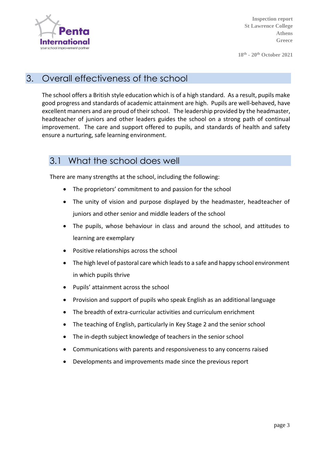

**18th - 20 th October 2021**

#### 3. Overall effectiveness of the school

The school offers a British style education which is of a high standard. As a result, pupils make good progress and standards of academic attainment are high. Pupils are well-behaved, have excellent manners and are proud of their school. The leadership provided by the headmaster, headteacher of juniors and other leaders guides the school on a strong path of continual improvement. The care and support offered to pupils, and standards of health and safety ensure a nurturing, safe learning environment.

#### 3.1 What the school does well

There are many strengths at the school, including the following:

- The proprietors' commitment to and passion for the school
- The unity of vision and purpose displayed by the headmaster, headteacher of juniors and other senior and middle leaders of the school
- The pupils, whose behaviour in class and around the school, and attitudes to learning are exemplary
- Positive relationships across the school
- The high level of pastoral care which leads to a safe and happy school environment in which pupils thrive
- Pupils' attainment across the school
- Provision and support of pupils who speak English as an additional language
- The breadth of extra-curricular activities and curriculum enrichment
- The teaching of English, particularly in Key Stage 2 and the senior school
- The in-depth subject knowledge of teachers in the senior school
- Communications with parents and responsiveness to any concerns raised
- Developments and improvements made since the previous report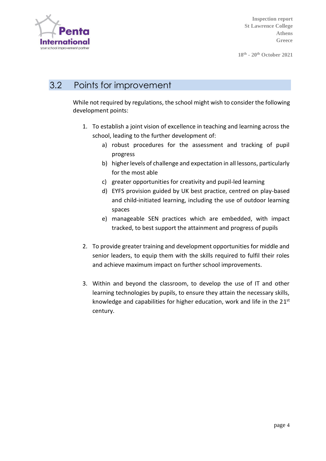

**18th - 20 th October 2021**

#### 3.2 Points for improvement

While not required by regulations, the school might wish to consider the following development points:

- 1. To establish a joint vision of excellence in teaching and learning across the school, leading to the further development of:
	- a) robust procedures for the assessment and tracking of pupil progress
	- b) higher levels of challenge and expectation in all lessons, particularly for the most able
	- c) greater opportunities for creativity and pupil-led learning
	- d) EYFS provision guided by UK best practice, centred on play-based and child-initiated learning, including the use of outdoor learning spaces
	- e) manageable SEN practices which are embedded, with impact tracked, to best support the attainment and progress of pupils
- 2. To provide greater training and development opportunities for middle and senior leaders, to equip them with the skills required to fulfil their roles and achieve maximum impact on further school improvements.
- 3. Within and beyond the classroom, to develop the use of IT and other learning technologies by pupils, to ensure they attain the necessary skills, knowledge and capabilities for higher education, work and life in the 21<sup>st</sup> century.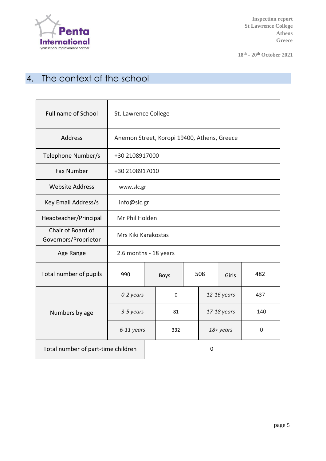

**18th - 20 th October 2021**

## 4. The context of the school

| Full name of School                       | St. Lawrence College                        |           |             |    |             |             |     |
|-------------------------------------------|---------------------------------------------|-----------|-------------|----|-------------|-------------|-----|
| Address                                   | Anemon Street, Koropi 19400, Athens, Greece |           |             |    |             |             |     |
| Telephone Number/s                        | +30 2108917000                              |           |             |    |             |             |     |
| <b>Fax Number</b>                         | +30 2108917010                              |           |             |    |             |             |     |
| <b>Website Address</b>                    | www.slc.gr                                  |           |             |    |             |             |     |
| Key Email Address/s                       | info@slc.gr                                 |           |             |    |             |             |     |
| Headteacher/Principal                     | Mr Phil Holden                              |           |             |    |             |             |     |
| Chair of Board of<br>Governors/Proprietor | Mrs Kiki Karakostas                         |           |             |    |             |             |     |
| Age Range                                 | 2.6 months - 18 years                       |           |             |    |             |             |     |
| Total number of pupils                    | 990                                         |           | <b>Boys</b> |    | 508         | Girls       | 482 |
|                                           | 0-2 years                                   |           | $\mathbf 0$ |    | 12-16 years |             | 437 |
| Numbers by age                            |                                             | 3-5 years |             | 81 |             | 17-18 years | 140 |
|                                           | 6-11 years                                  |           | 332         |    | 18+ years   |             | 0   |
| Total number of part-time children        |                                             |           | $\mathbf 0$ |    |             |             |     |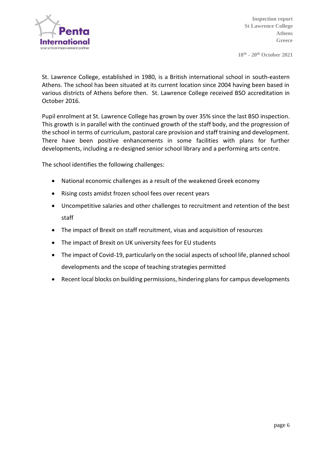

**18th - 20 th October 2021**

St. Lawrence College, established in 1980, is a British international school in south-eastern Athens. The school has been situated at its current location since 2004 having been based in various districts of Athens before then. St. Lawrence College received BSO accreditation in October 2016.

Pupil enrolment at St. Lawrence College has grown by over 35% since the last BSO inspection. This growth is in parallel with the continued growth of the staff body, and the progression of the school in terms of curriculum, pastoral care provision and staff training and development. There have been positive enhancements in some facilities with plans for further developments, including a re-designed senior school library and a performing arts centre.

The school identifies the following challenges:

- National economic challenges as a result of the weakened Greek economy
- Rising costs amidst frozen school fees over recent years
- Uncompetitive salaries and other challenges to recruitment and retention of the best staff
- The impact of Brexit on staff recruitment, visas and acquisition of resources
- The impact of Brexit on UK university fees for EU students
- The impact of Covid-19, particularly on the social aspects of school life, planned school developments and the scope of teaching strategies permitted
- Recent local blocks on building permissions, hindering plans for campus developments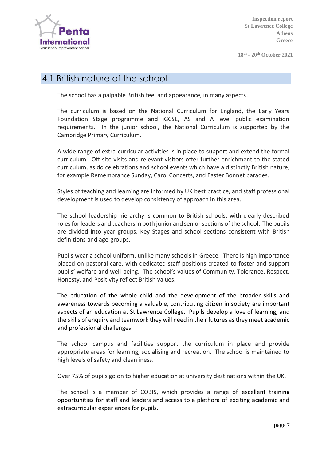

**18th - 20 th October 2021**

#### 4.1 British nature of the school

The school has a palpable British feel and appearance, in many aspects.

The curriculum is based on the National Curriculum for England, the Early Years Foundation Stage programme and iGCSE, AS and A level public examination requirements. In the junior school, the National Curriculum is supported by the Cambridge Primary Curriculum.

A wide range of extra-curricular activities is in place to support and extend the formal curriculum. Off-site visits and relevant visitors offer further enrichment to the stated curriculum, as do celebrations and school events which have a distinctly British nature, for example Remembrance Sunday, Carol Concerts, and Easter Bonnet parades.

Styles of teaching and learning are informed by UK best practice, and staff professional development is used to develop consistency of approach in this area.

The school leadership hierarchy is common to British schools, with clearly described roles for leaders and teachers in both junior and senior sections of the school. The pupils are divided into year groups, Key Stages and school sections consistent with British definitions and age-groups.

Pupils wear a school uniform, unlike many schools in Greece. There is high importance placed on pastoral care, with dedicated staff positions created to foster and support pupils' welfare and well-being. The school's values of Community, Tolerance, Respect, Honesty, and Positivity reflect British values.

The education of the whole child and the development of the broader skills and awareness towards becoming a valuable, contributing citizen in society are important aspects of an education at St Lawrence College. Pupils develop a love of learning, and the skills of enquiry and teamwork they will need in their futures as they meet academic and professional challenges.

The school campus and facilities support the curriculum in place and provide appropriate areas for learning, socialising and recreation. The school is maintained to high levels of safety and cleanliness.

Over 75% of pupils go on to higher education at university destinations within the UK.

The school is a member of COBIS, which provides a range of excellent training opportunities for staff and leaders and access to a plethora of exciting academic and extracurricular experiences for pupils.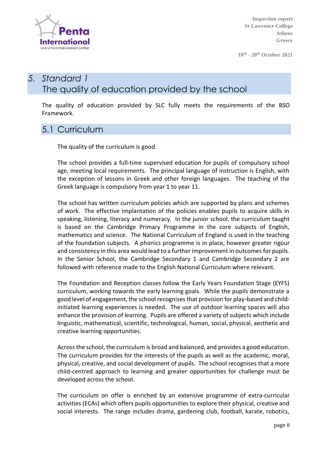

**18th - 20 th October 2021**

## *5. Standard 1* The quality of education provided by the school

The quality of education provided by SLC fully meets the requirements of the BSO Framework.

#### 5.1 Curriculum

The quality of the curriculum is good.

The school provides a full-time supervised education for pupils of compulsory school age, meeting local requirements. The principal language of instruction is English, with the exception of lessons in Greek and other foreign languages. The teaching of the Greek language is compulsory from year 1 to year 11.

The school has written curriculum policies which are supported by plans and schemes of work. The effective implantation of the policies enables pupils to acquire skills in speaking, listening, literacy and numeracy. In the junior school, the curriculum taught is based on the Cambridge Primary Programme in the core subjects of English, mathematics and science. The National Curriculum of England is used in the teaching of the foundation subjects. A phonics programme is in place, however greater rigour and consistency in this area would lead to a further improvement in outcomes for pupils. In the Senior School, the Cambridge Secondary 1 and Cambridge Secondary 2 are followed with reference made to the English National Curriculum where relevant.

The Foundation and Reception classes follow the Early Years Foundation Stage (EYFS) curriculum, working towards the early learning goals. While the pupils demonstrate a good level of engagement, the school recognises that provision for play-based and childinitiated learning experiences is needed. The use of outdoor learning spaces will also enhance the provision of learning. Pupils are offered a variety of subjects which include linguistic, mathematical, scientific, technological, human, social, physical, aesthetic and creative learning opportunities.

Across the school, the curriculum is broad and balanced, and provides a good education. The curriculum provides for the interests of the pupils as well as the academic, moral, physical, creative, and social development of pupils. The school recognises that a more child-centred approach to learning and greater opportunities for challenge must be developed across the school.

The curriculum on offer is enriched by an extensive programme of extra-curricular activities (ECAs) which offers pupils opportunities to explore their physical, creative and social interests. The range includes drama, gardening club, football, karate, robotics,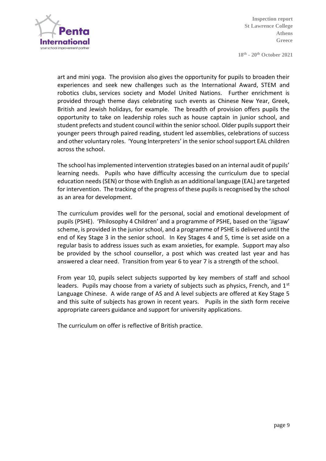

**18th - 20 th October 2021**

art and mini yoga. The provision also gives the opportunity for pupils to broaden their experiences and seek new challenges such as the International Award, STEM and robotics clubs, services society and Model United Nations. Further enrichment is provided through theme days celebrating such events as Chinese New Year, Greek, British and Jewish holidays, for example. The breadth of provision offers pupils the opportunity to take on leadership roles such as house captain in junior school, and student prefects and student council within the senior school. Older pupils support their younger peers through paired reading, student led assemblies, celebrations of success and other voluntary roles. 'Young Interpreters' in the senior school support EAL children across the school.

The school has implemented intervention strategies based on an internal audit of pupils' learning needs. Pupils who have difficulty accessing the curriculum due to special education needs (SEN) or those with English as an additional language (EAL) are targeted for intervention. The tracking of the progress of these pupils is recognised by the school as an area for development.

The curriculum provides well for the personal, social and emotional development of pupils (PSHE). 'Philosophy 4 Children' and a programme of PSHE, based on the 'Jigsaw' scheme, is provided in the junior school, and a programme of PSHE is delivered until the end of Key Stage 3 in the senior school. In Key Stages 4 and 5, time is set aside on a regular basis to address issues such as exam anxieties, for example. Support may also be provided by the school counsellor, a post which was created last year and has answered a clear need. Transition from year 6 to year 7 is a strength of the school.

From year 10, pupils select subjects supported by key members of staff and school leaders. Pupils may choose from a variety of subjects such as physics, French, and  $1<sup>st</sup>$ Language Chinese. A wide range of AS and A level subjects are offered at Key Stage 5 and this suite of subjects has grown in recent years. Pupils in the sixth form receive appropriate careers guidance and support for university applications.

The curriculum on offer is reflective of British practice.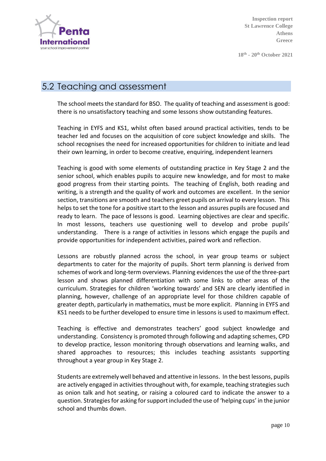

**18th - 20 th October 2021**

#### 5.2 Teaching and assessment

The school meets the standard for BSO. The quality of teaching and assessment is good: there is no unsatisfactory teaching and some lessons show outstanding features.

Teaching in EYFS and KS1, whilst often based around practical activities, tends to be teacher led and focuses on the acquisition of core subject knowledge and skills. The school recognises the need for increased opportunities for children to initiate and lead their own learning, in order to become creative, enquiring, independent learners

Teaching is good with some elements of outstanding practice in Key Stage 2 and the senior school, which enables pupils to acquire new knowledge, and for most to make good progress from their starting points. The teaching of English, both reading and writing, is a strength and the quality of work and outcomes are excellent. In the senior section, transitions are smooth and teachers greet pupils on arrival to every lesson. This helps to set the tone for a positive start to the lesson and assures pupils are focused and ready to learn. The pace of lessons is good. Learning objectives are clear and specific. In most lessons, teachers use questioning well to develop and probe pupils' understanding. There is a range of activities in lessons which engage the pupils and provide opportunities for independent activities, paired work and reflection.

Lessons are robustly planned across the school, in year group teams or subject departments to cater for the majority of pupils. Short term planning is derived from schemes of work and long-term overviews. Planning evidences the use of the three-part lesson and shows planned differentiation with some links to other areas of the curriculum. Strategies for children 'working towards' and SEN are clearly identified in planning, however, challenge of an appropriate level for those children capable of greater depth, particularly in mathematics, must be more explicit. Planning in EYFS and KS1 needs to be further developed to ensure time in lessons is used to maximum effect.

Teaching is effective and demonstrates teachers' good subject knowledge and understanding. Consistency is promoted through following and adapting schemes, CPD to develop practice, lesson monitoring through observations and learning walks, and shared approaches to resources; this includes teaching assistants supporting throughout a year group in Key Stage 2.

Students are extremely well behaved and attentive in lessons. In the best lessons, pupils are actively engaged in activities throughout with, for example, teaching strategies such as onion talk and hot seating, or raising a coloured card to indicate the answer to a question. Strategies for asking for support included the use of 'helping cups' in the junior school and thumbs down.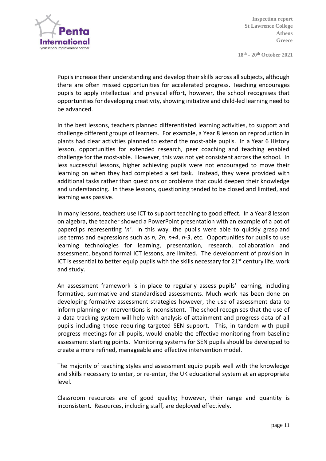

**18th - 20 th October 2021**

Pupils increase their understanding and develop their skills across all subjects, although there are often missed opportunities for accelerated progress. Teaching encourages pupils to apply intellectual and physical effort, however, the school recognises that opportunities for developing creativity, showing initiative and child-led learning need to be advanced.

In the best lessons, teachers planned differentiated learning activities, to support and challenge different groups of learners. For example, a Year 8 lesson on reproduction in plants had clear activities planned to extend the most-able pupils. In a Year 6 History lesson, opportunities for extended research, peer coaching and teaching enabled challenge for the most-able. However, this was not yet consistent across the school. In less successful lessons, higher achieving pupils were not encouraged to move their learning on when they had completed a set task. Instead, they were provided with additional tasks rather than questions or problems that could deepen their knowledge and understanding. In these lessons, questioning tended to be closed and limited, and learning was passive.

In many lessons, teachers use ICT to support teaching to good effect. In a Year 8 lesson on algebra, the teacher showed a PowerPoint presentation with an example of a pot of paperclips representing '*n'*. In this way, the pupils were able to quickly grasp and use terms and expressions such as *n*, *2n*, *n+4*, *n-3*, etc. Opportunities for pupils to use learning technologies for learning, presentation, research, collaboration and assessment, beyond formal ICT lessons, are limited. The development of provision in ICT is essential to better equip pupils with the skills necessary for  $21^{st}$  century life, work and study.

An assessment framework is in place to regularly assess pupils' learning, including formative, summative and standardised assessments. Much work has been done on developing formative assessment strategies however, the use of assessment data to inform planning or interventions is inconsistent. The school recognises that the use of a data tracking system will help with analysis of attainment and progress data of all pupils including those requiring targeted SEN support. This, in tandem with pupil progress meetings for all pupils, would enable the effective monitoring from baseline assessment starting points. Monitoring systems for SEN pupils should be developed to create a more refined, manageable and effective intervention model.

The majority of teaching styles and assessment equip pupils well with the knowledge and skills necessary to enter, or re-enter, the UK educational system at an appropriate level.

Classroom resources are of good quality; however, their range and quantity is inconsistent. Resources, including staff, are deployed effectively.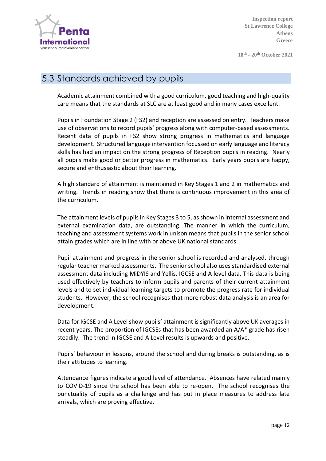

**18th - 20 th October 2021**

#### 5.3 Standards achieved by pupils

Academic attainment combined with a good curriculum, good teaching and high-quality care means that the standards at SLC are at least good and in many cases excellent.

Pupils in Foundation Stage 2 (FS2) and reception are assessed on entry. Teachers make use of observations to record pupils' progress along with computer-based assessments. Recent data of pupils in FS2 show strong progress in mathematics and language development. Structured language intervention focussed on early language and literacy skills has had an impact on the strong progress of Reception pupils in reading. Nearly all pupils make good or better progress in mathematics. Early years pupils are happy, secure and enthusiastic about their learning.

A high standard of attainment is maintained in Key Stages 1 and 2 in mathematics and writing. Trends in reading show that there is continuous improvement in this area of the curriculum.

The attainment levels of pupils in Key Stages 3 to 5, as shown in internal assessment and external examination data, are outstanding. The manner in which the curriculum, teaching and assessment systems work in unison means that pupils in the senior school attain grades which are in line with or above UK national standards.

Pupil attainment and progress in the senior school is recorded and analysed, through regular teacher marked assessments. The senior school also uses standardised external assessment data including MiDYIS and Yellis, IGCSE and A level data. This data is being used effectively by teachers to inform pupils and parents of their current attainment levels and to set individual learning targets to promote the progress rate for individual students. However, the school recognises that more robust data analysis is an area for development.

Data for IGCSE and A Level show pupils' attainment is significantly above UK averages in recent years. The proportion of IGCSEs that has been awarded an A/A\* grade has risen steadily. The trend in IGCSE and A Level results is upwards and positive.

Pupils' behaviour in lessons, around the school and during breaks is outstanding, as is their attitudes to learning.

Attendance figures indicate a good level of attendance. Absences have related mainly to COVID-19 since the school has been able to re-open. The school recognises the punctuality of pupils as a challenge and has put in place measures to address late arrivals, which are proving effective.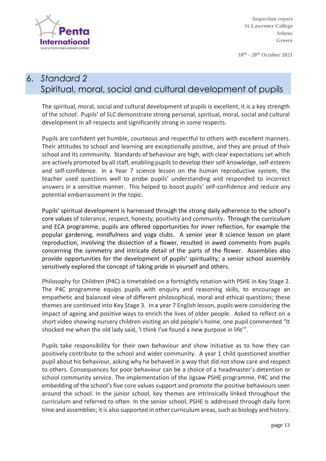

**18th - 20 th October 2021**

## 6. *Standard 2* Spiritual, moral, social and cultural development of pupils

The spiritual, moral, social and cultural development of pupils is excellent, it is a key strength of the school. Pupils' of SLC demonstrate strong personal, spiritual, moral, social and cultural development in all respects and significantly strong in some respects.

Pupils are confident yet humble, courteous and respectful to others with excellent manners. Their attitudes to school and learning are exceptionally positive, and they are proud of their school and its community. Standards of behaviour are high, with clear expectations set which are actively promoted by all staff, enabling pupils to develop their self-knowledge, self-esteem and self-confidence. In a Year 7 science lesson on the human reproductive system, the teacher used questions well to probe pupils' understanding and responded to incorrect answers in a sensitive manner. This helped to boost pupils' self-confidence and reduce any potential embarrassment in the topic.

Pupils' spiritual development is harnessed through the strong daily adherence to the school's core values of tolerance, respect, honesty, positivity and community. Through the curriculum and ECA programme, pupils are offered opportunities for inner reflection, for example the popular gardening, mindfulness and yoga clubs. A senior year 8 science lesson on plant reproduction, involving the dissection of a flower, resulted in awed comments from pupils concerning the symmetry and intricate detail of the parts of the flower. Assemblies also provide opportunities for the development of pupils' spirituality; a senior school assembly sensitively explored the concept of taking pride in yourself and others.

Philosophy for Children (P4C) is timetabled on a fortnightly rotation with PSHE in Key Stage 2. The P4C programme equips pupils with enquiry and reasoning skills, to encourage an empathetic and balanced view of different philosophical, moral and ethical questions; these themes are continued into Key Stage 3. In a year 7 English lesson, pupils were considering the impact of ageing and positive ways to enrich the lives of older people. Asked to reflect on a short video showing nursery children visiting an old people's home, one pupil commented "It shocked me when the old lady said, 'I think I've found a new purpose in life'".

Pupils take responsibility for their own behaviour and show initiative as to how they can positively contribute to the school and wider community. A year 1 child questioned another pupil about his behaviour, asking why he behaved in a way that did not show care and respect to others. Consequences for poor behaviour can be a choice of a headmaster's detention or school community service. The implementation of the Jigsaw PSHE programme, P4C and the embedding of the school's five core values support and promote the positive behaviours seen around the school. In the junior school, key themes are intrinsically linked throughout the curriculum and referred to often. In the senior school, PSHE is addressed through daily form time and assemblies; it is also supported in other curriculum areas, such as biology and history.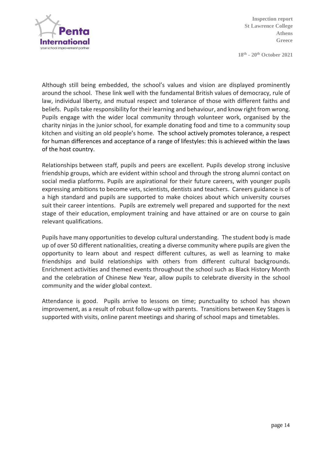

**18th - 20 th October 2021**

Although still being embedded, the school's values and vision are displayed prominently around the school. These link well with the fundamental British values of democracy, rule of law, individual liberty, and mutual respect and tolerance of those with different faiths and beliefs. Pupils take responsibility for their learning and behaviour, and know right from wrong. Pupils engage with the wider local community through volunteer work, organised by the charity ninjas in the junior school, for example donating food and time to a community soup kitchen and visiting an old people's home. The school actively promotes tolerance, a respect for human differences and acceptance of a range of lifestyles: this is achieved within the laws of the host country.

Relationships between staff, pupils and peers are excellent. Pupils develop strong inclusive friendship groups, which are evident within school and through the strong alumni contact on social media platforms. Pupils are aspirational for their future careers, with younger pupils expressing ambitions to become vets, scientists, dentists and teachers. Careers guidance is of a high standard and pupils are supported to make choices about which university courses suit their career intentions. Pupils are extremely well prepared and supported for the next stage of their education, employment training and have attained or are on course to gain relevant qualifications.

Pupils have many opportunities to develop cultural understanding. The student body is made up of over 50 different nationalities, creating a diverse community where pupils are given the opportunity to learn about and respect different cultures, as well as learning to make friendships and build relationships with others from different cultural backgrounds. Enrichment activities and themed events throughout the school such as Black History Month and the celebration of Chinese New Year, allow pupils to celebrate diversity in the school community and the wider global context.

Attendance is good. Pupils arrive to lessons on time; punctuality to school has shown improvement, as a result of robust follow-up with parents. Transitions between Key Stages is supported with visits, online parent meetings and sharing of school maps and timetables.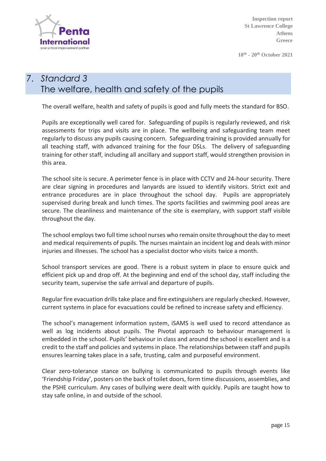

**18th - 20 th October 2021**

### 7. *Standard 3* The welfare, health and safety of the pupils

The overall welfare, health and safety of pupils is good and fully meets the standard for BSO.

Pupils are exceptionally well cared for. Safeguarding of pupils is regularly reviewed, and risk assessments for trips and visits are in place. The wellbeing and safeguarding team meet regularly to discuss any pupils causing concern. Safeguarding training is provided annually for all teaching staff, with advanced training for the four DSLs. The delivery of safeguarding training for other staff, including all ancillary and support staff, would strengthen provision in this area.

The school site is secure. A perimeter fence is in place with CCTV and 24-hour security. There are clear signing in procedures and lanyards are issued to identify visitors. Strict exit and entrance procedures are in place throughout the school day. Pupils are appropriately supervised during break and lunch times. The sports facilities and swimming pool areas are secure. The cleanliness and maintenance of the site is exemplary, with support staff visible throughout the day.

The school employs two full time school nurses who remain onsite throughout the day to meet and medical requirements of pupils. The nurses maintain an incident log and deals with minor injuries and illnesses. The school has a specialist doctor who visits twice a month.

School transport services are good. There is a robust system in place to ensure quick and efficient pick up and drop off. At the beginning and end of the school day, staff including the security team, supervise the safe arrival and departure of pupils.

Regular fire evacuation drills take place and fire extinguishers are regularly checked. However, current systems in place for evacuations could be refined to increase safety and efficiency.

The school's management information system, iSAMS is well used to record attendance as well as log incidents about pupils. The Pivotal approach to behaviour management is embedded in the school. Pupils' behaviour in class and around the school is excellent and is a credit to the staff and policies and systems in place. The relationships between staff and pupils ensures learning takes place in a safe, trusting, calm and purposeful environment.

Clear zero-tolerance stance on bullying is communicated to pupils through events like 'Friendship Friday', posters on the back of toilet doors, form time discussions, assemblies, and the PSHE curriculum. Any cases of bullying were dealt with quickly. Pupils are taught how to stay safe online, in and outside of the school.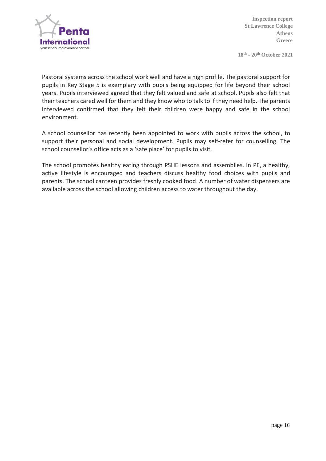

**18th - 20 th October 2021**

Pastoral systems across the school work well and have a high profile. The pastoral support for pupils in Key Stage 5 is exemplary with pupils being equipped for life beyond their school years. Pupils interviewed agreed that they felt valued and safe at school. Pupils also felt that their teachers cared well for them and they know who to talk to if they need help. The parents interviewed confirmed that they felt their children were happy and safe in the school environment.

A school counsellor has recently been appointed to work with pupils across the school, to support their personal and social development. Pupils may self-refer for counselling. The school counsellor's office acts as a 'safe place' for pupils to visit.

The school promotes healthy eating through PSHE lessons and assemblies. In PE, a healthy, active lifestyle is encouraged and teachers discuss healthy food choices with pupils and parents. The school canteen provides freshly cooked food. A number of water dispensers are available across the school allowing children access to water throughout the day.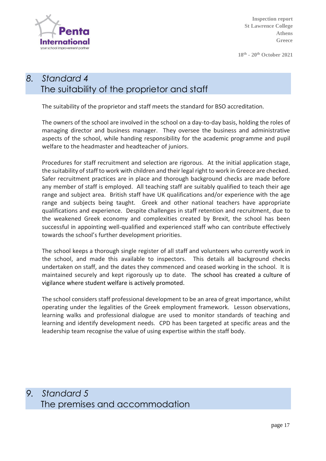

**18th - 20 th October 2021**

## *8. Standard 4* The suitability of the proprietor and staff

The suitability of the proprietor and staff meets the standard for BSO accreditation.

The owners of the school are involved in the school on a day-to-day basis, holding the roles of managing director and business manager. They oversee the business and administrative aspects of the school, while handing responsibility for the academic programme and pupil welfare to the headmaster and headteacher of juniors.

Procedures for staff recruitment and selection are rigorous. At the initial application stage, the suitability of staff to work with children and their legal right to work in Greece are checked. Safer recruitment practices are in place and thorough background checks are made before any member of staff is employed. All teaching staff are suitably qualified to teach their age range and subject area. British staff have UK qualifications and/or experience with the age range and subjects being taught. Greek and other national teachers have appropriate qualifications and experience. Despite challenges in staff retention and recruitment, due to the weakened Greek economy and complexities created by Brexit, the school has been successful in appointing well-qualified and experienced staff who can contribute effectively towards the school's further development priorities.

The school keeps a thorough single register of all staff and volunteers who currently work in the school, and made this available to inspectors. This details all background checks undertaken on staff, and the dates they commenced and ceased working in the school. It is maintained securely and kept rigorously up to date. The school has created a culture of vigilance where student welfare is actively promoted.

The school considers staff professional development to be an area of great importance, whilst operating under the legalities of the Greek employment framework. Lesson observations, learning walks and professional dialogue are used to monitor standards of teaching and learning and identify development needs. CPD has been targeted at specific areas and the leadership team recognise the value of using expertise within the staff body.

*9. Standard 5* The premises and accommodation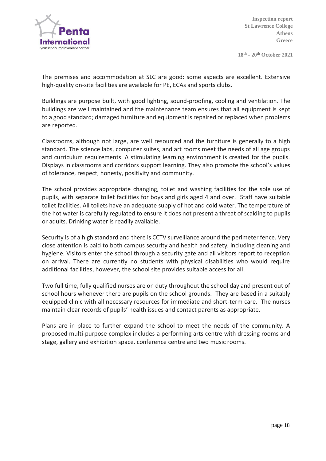

**18th - 20 th October 2021**

The premises and accommodation at SLC are good: some aspects are excellent. Extensive high-quality on-site facilities are available for PE, ECAs and sports clubs.

Buildings are purpose built, with good lighting, sound-proofing, cooling and ventilation. The buildings are well maintained and the maintenance team ensures that all equipment is kept to a good standard; damaged furniture and equipment is repaired or replaced when problems are reported.

Classrooms, although not large, are well resourced and the furniture is generally to a high standard. The science labs, computer suites, and art rooms meet the needs of all age groups and curriculum requirements. A stimulating learning environment is created for the pupils. Displays in classrooms and corridors support learning. They also promote the school's values of tolerance, respect, honesty, positivity and community.

The school provides appropriate changing, toilet and washing facilities for the sole use of pupils, with separate toilet facilities for boys and girls aged 4 and over. Staff have suitable toilet facilities. All toilets have an adequate supply of hot and cold water. The temperature of the hot water is carefully regulated to ensure it does not present a threat of scalding to pupils or adults. Drinking water is readily available.

Security is of a high standard and there is CCTV surveillance around the perimeter fence. Very close attention is paid to both campus security and health and safety, including cleaning and hygiene. Visitors enter the school through a security gate and all visitors report to reception on arrival. There are currently no students with physical disabilities who would require additional facilities, however, the school site provides suitable access for all.

Two full time, fully qualified nurses are on duty throughout the school day and present out of school hours whenever there are pupils on the school grounds. They are based in a suitably equipped clinic with all necessary resources for immediate and short-term care. The nurses maintain clear records of pupils' health issues and contact parents as appropriate.

Plans are in place to further expand the school to meet the needs of the community. A proposed multi-purpose complex includes a performing arts centre with dressing rooms and stage, gallery and exhibition space, conference centre and two music rooms.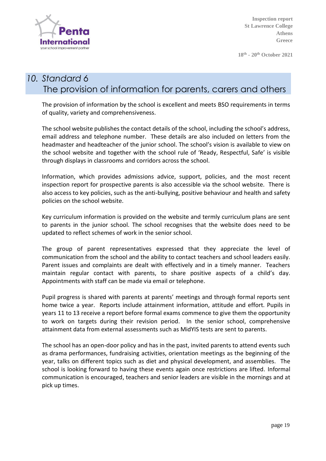

**18th - 20 th October 2021**

## *10. Standard 6* The provision of information for parents, carers and others

The provision of information by the school is excellent and meets BSO requirements in terms of quality, variety and comprehensiveness.

The school website publishes the contact details of the school, including the school's address, email address and telephone number. These details are also included on letters from the headmaster and headteacher of the junior school. The school's vision is available to view on the school website and together with the school rule of 'Ready, Respectful, Safe' is visible through displays in classrooms and corridors across the school.

Information, which provides admissions advice, support, policies, and the most recent inspection report for prospective parents is also accessible via the school website. There is also access to key policies, such as the anti-bullying, positive behaviour and health and safety policies on the school website.

Key curriculum information is provided on the website and termly curriculum plans are sent to parents in the junior school. The school recognises that the website does need to be updated to reflect schemes of work in the senior school.

The group of parent representatives expressed that they appreciate the level of communication from the school and the ability to contact teachers and school leaders easily. Parent issues and complaints are dealt with effectively and in a timely manner. Teachers maintain regular contact with parents, to share positive aspects of a child's day. Appointments with staff can be made via email or telephone.

Pupil progress is shared with parents at parents' meetings and through formal reports sent home twice a year. Reports include attainment information, attitude and effort. Pupils in years 11 to 13 receive a report before formal exams commence to give them the opportunity to work on targets during their revision period. In the senior school, comprehensive attainment data from external assessments such as MidYIS tests are sent to parents.

The school has an open-door policy and has in the past, invited parents to attend events such as drama performances, fundraising activities, orientation meetings as the beginning of the year, talks on different topics such as diet and physical development, and assemblies. The school is looking forward to having these events again once restrictions are lifted. Informal communication is encouraged, teachers and senior leaders are visible in the mornings and at pick up times.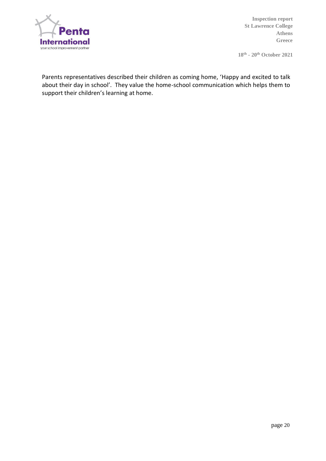

**18th - 20 th October 2021**

Parents representatives described their children as coming home, 'Happy and excited to talk about their day in school'. They value the home-school communication which helps them to support their children's learning at home.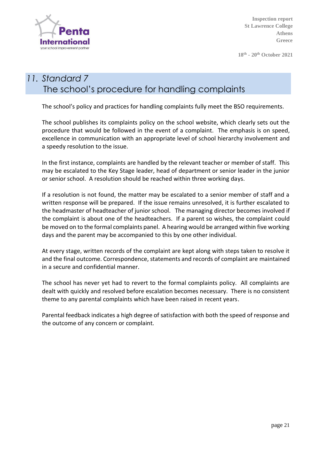

**18th - 20 th October 2021**

## *11. Standard 7* The school's procedure for handling complaints

The school's policy and practices for handling complaints fully meet the BSO requirements.

The school publishes its complaints policy on the school website, which clearly sets out the procedure that would be followed in the event of a complaint. The emphasis is on speed, excellence in communication with an appropriate level of school hierarchy involvement and a speedy resolution to the issue.

In the first instance, complaints are handled by the relevant teacher or member of staff. This may be escalated to the Key Stage leader, head of department or senior leader in the junior or senior school. A resolution should be reached within three working days.

If a resolution is not found, the matter may be escalated to a senior member of staff and a written response will be prepared. If the issue remains unresolved, it is further escalated to the headmaster of headteacher of junior school. The managing director becomes involved if the complaint is about one of the headteachers. If a parent so wishes, the complaint could be moved on to the formal complaints panel. A hearing would be arranged within five working days and the parent may be accompanied to this by one other individual.

At every stage, written records of the complaint are kept along with steps taken to resolve it and the final outcome. Correspondence, statements and records of complaint are maintained in a secure and confidential manner.

The school has never yet had to revert to the formal complaints policy. All complaints are dealt with quickly and resolved before escalation becomes necessary. There is no consistent theme to any parental complaints which have been raised in recent years.

Parental feedback indicates a high degree of satisfaction with both the speed of response and the outcome of any concern or complaint.